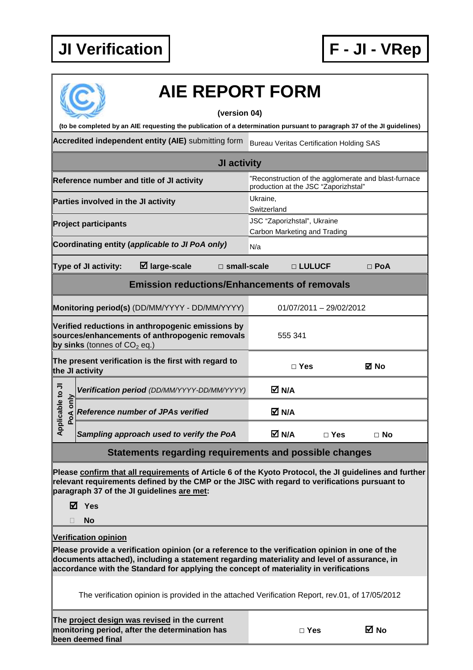

|                                                                         |                                                     |                                                                                                                                                                                                                                                                                         |                                                                                              | <b>AIE REPORT FORM</b>                          |                         |            |  |  |  |  |
|-------------------------------------------------------------------------|-----------------------------------------------------|-----------------------------------------------------------------------------------------------------------------------------------------------------------------------------------------------------------------------------------------------------------------------------------------|----------------------------------------------------------------------------------------------|-------------------------------------------------|-------------------------|------------|--|--|--|--|
|                                                                         |                                                     | (to be completed by an AIE requesting the publication of a determination pursuant to paragraph 37 of the JI guidelines)                                                                                                                                                                 | (version 04)                                                                                 |                                                 |                         |            |  |  |  |  |
|                                                                         |                                                     | Accredited independent entity (AIE) submitting form                                                                                                                                                                                                                                     |                                                                                              | <b>Bureau Veritas Certification Holding SAS</b> |                         |            |  |  |  |  |
|                                                                         |                                                     |                                                                                                                                                                                                                                                                                         | <b>JI activity</b>                                                                           |                                                 |                         |            |  |  |  |  |
|                                                                         |                                                     | Reference number and title of JI activity                                                                                                                                                                                                                                               | "Reconstruction of the agglomerate and blast-furnace<br>production at the JSC "Zaporizhstal" |                                                 |                         |            |  |  |  |  |
|                                                                         | Parties involved in the JI activity                 |                                                                                                                                                                                                                                                                                         |                                                                                              | Ukraine,<br>Switzerland                         |                         |            |  |  |  |  |
|                                                                         | <b>Project participants</b>                         |                                                                                                                                                                                                                                                                                         | JSC "Zaporizhstal", Ukraine<br>Carbon Marketing and Trading                                  |                                                 |                         |            |  |  |  |  |
|                                                                         |                                                     | Coordinating entity (applicable to JI PoA only)                                                                                                                                                                                                                                         |                                                                                              | N/a                                             |                         |            |  |  |  |  |
|                                                                         | Type of JI activity:                                | $\boxtimes$ large-scale                                                                                                                                                                                                                                                                 | $\Box$ small-scale                                                                           |                                                 | □ LULUCF                | $\Box$ PoA |  |  |  |  |
|                                                                         | <b>Emission reductions/Enhancements of removals</b> |                                                                                                                                                                                                                                                                                         |                                                                                              |                                                 |                         |            |  |  |  |  |
|                                                                         |                                                     | Monitoring period(s) (DD/MM/YYYY - DD/MM/YYYY)                                                                                                                                                                                                                                          |                                                                                              |                                                 | 01/07/2011 - 29/02/2012 |            |  |  |  |  |
|                                                                         | by sinks (tonnes of $CO2$ eq.)                      | Verified reductions in anthropogenic emissions by<br>sources/enhancements of anthropogenic removals                                                                                                                                                                                     |                                                                                              | 555 341                                         |                         |            |  |  |  |  |
| The present verification is the first with regard to<br>the JI activity |                                                     |                                                                                                                                                                                                                                                                                         |                                                                                              | $\Box$ Yes                                      |                         | ⊠ No       |  |  |  |  |
|                                                                         |                                                     | Verification period (DD/MM/YYYY-DD/MM/YYYY)                                                                                                                                                                                                                                             |                                                                                              | M N/A                                           |                         |            |  |  |  |  |
| plicable to JI<br>only<br>PoA                                           | <b>Reference number of JPAs verified</b>            |                                                                                                                                                                                                                                                                                         |                                                                                              | M N/A                                           |                         |            |  |  |  |  |
| ᡇ                                                                       |                                                     | Sampling approach used to verify the PoA                                                                                                                                                                                                                                                |                                                                                              | M N/A                                           | $\Box$ Yes              | $\Box$ No  |  |  |  |  |
|                                                                         |                                                     | <b>Statements regarding requirements and possible changes</b>                                                                                                                                                                                                                           |                                                                                              |                                                 |                         |            |  |  |  |  |
| ☑                                                                       | Yes<br><b>No</b>                                    | Please confirm that all requirements of Article 6 of the Kyoto Protocol, the JI guidelines and further<br>relevant requirements defined by the CMP or the JISC with regard to verifications pursuant to<br>paragraph 37 of the JI guidelines are met:                                   |                                                                                              |                                                 |                         |            |  |  |  |  |
|                                                                         | <b>Verification opinion</b>                         |                                                                                                                                                                                                                                                                                         |                                                                                              |                                                 |                         |            |  |  |  |  |
|                                                                         |                                                     | Please provide a verification opinion (or a reference to the verification opinion in one of the<br>documents attached), including a statement regarding materiality and level of assurance, in<br>accordance with the Standard for applying the concept of materiality in verifications |                                                                                              |                                                 |                         |            |  |  |  |  |
|                                                                         |                                                     | The verification opinion is provided in the attached Verification Report, rev.01, of 17/05/2012                                                                                                                                                                                         |                                                                                              |                                                 |                         |            |  |  |  |  |
|                                                                         | been deemed final                                   | The project design was revised in the current<br>monitoring period, after the determination has                                                                                                                                                                                         |                                                                                              |                                                 | $\Box$ Yes              | M No       |  |  |  |  |